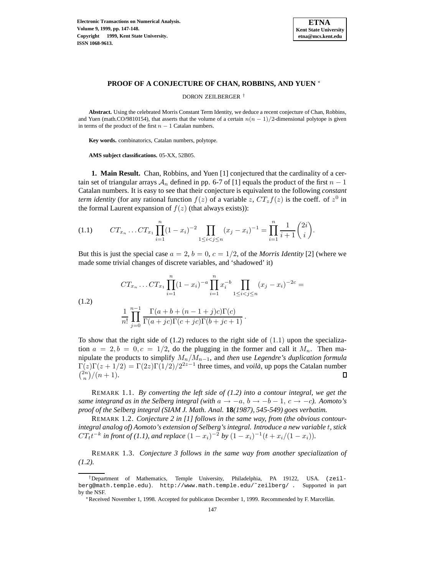

## **PROOF OF A CONJECTURE OF CHAN, ROBBINS, AND YUEN** <sup>∗</sup>

DORON ZEILBERGER †

**Abstract.** Using the celebrated Morris Constant Term Identity, we deduce a recent conjecture of Chan, Robbins, and Yuen (math.CO/9810154), that asserts that the volume of a certain  $n(n - 1)/2$ -dimensional polytope is given in terms of the product of the first  $n - 1$  Catalan numbers.

**Key words.** combinatorics, Catalan numbers, polytope.

**AMS subject classifications.** 05-XX, 52B05.

**1. Main Result.** Chan, Robbins, and Yuen [1] conjectured that the cardinality of a certain set of triangular arrays  $A_n$  defined in pp. 6-7 of [1] equals the product of the first  $n-1$ Catalan numbers. It is easy to see that their conjecture is equivalent to the following *constant term identity* (for any rational function  $f(z)$  of a variable z,  $CT_z f(z)$  is the coeff. of  $z<sup>0</sup>$  in the formal Laurent expansion of  $f(z)$  (that always exists)):

$$
(1.1) \tCT_{x_n} \t... CT_{x_1} \prod_{i=1}^n (1-x_i)^{-2} \prod_{1 \leq i < j \leq n} (x_j - x_i)^{-1} = \prod_{i=1}^n \frac{1}{i+1} {2i \choose i}.
$$

But this is just the special case  $a = 2$ ,  $b = 0$ ,  $c = 1/2$ , of the *Morris Identity* [2] (where we made some trivial changes of discrete variables, and 'shadowed' it)

(1.2)  
\n
$$
CT_{x_n} \dots CT_{x_1} \prod_{i=1}^n (1-x_i)^{-a} \prod_{i=1}^n x_i^{-b} \prod_{1 \le i < j \le n} (x_j - x_i)^{-2c} =
$$
\n
$$
\frac{1}{n!} \prod_{j=0}^{n-1} \frac{\Gamma(a+b+(n-1+j)c)\Gamma(c)}{\Gamma(a+jc)\Gamma(c+jc)\Gamma(b+jc+1)}.
$$

To show that the right side of  $(1.2)$  reduces to the right side of  $(1.1)$  upon the specialization  $a = 2, b = 0, c = 1/2$ , do the plugging in the former and call it  $M_n$ . Then manipulate the products to simplify Mn/M<sup>n</sup>−<sup>1</sup>, and *then* use *Legendre's duplication formula*  $\Gamma(z)\Gamma(z+1/2) = \Gamma(2z)\Gamma(1/2)/2^{2z-1}$  three times, and *voila*, up pops the Catalan number  $\binom{2n}{n}/(n+1).$ □

REMARK 1.1. *By converting the left side of (1.2) into a contour integral, we get the same integrand as in the Selberg integral (with*  $a \rightarrow -a$ ,  $b \rightarrow -b-1$ ,  $c \rightarrow -c$ ). Aomoto's *proof of the Selberg integral (SIAM J. Math. Anal.* **18***(1987), 545-549) goes verbatim.*

REMARK 1.2. *Conjecture 2 in [1] follows in the same way, from (the obvious contourintegral analog of) Aomoto's extension of Selberg's integral. Introduce a new variable* t*, stick*  $CT_t t^{-k}$  *in front of (1.1), and replace*  $(1 - x_i)^{-2}$  *by*  $(1 - x_i)^{-1}(t + x_i/(1 - x_i))$ *.* 

REMARK 1.3. *Conjecture 3 follows in the same way from another specialization of (1.2).*

<sup>†</sup>Department of Mathematics, Temple University, Philadelphia, PA 19122, USA. (zeilberg@math.temple.edu). http://www.math.temple.edu/˜zeilberg/ . Supported in part by the NSF.

<sup>∗</sup>Received November 1, 1998. Accepted for publicaton December 1, 1999. Recommended by F. Marcell´an.